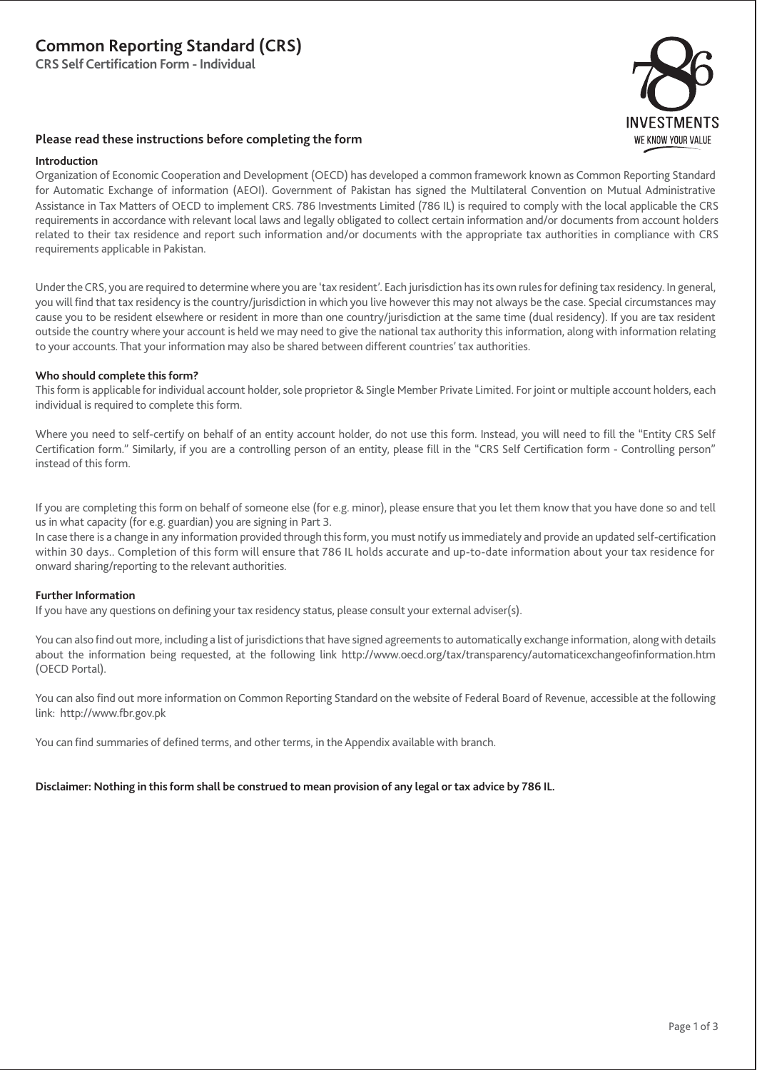# **Common Reporting Standard (CRS)**

**CRS Self Certification Form - Individual**



## **Please read these instructions before completing the form**

### **Introduction**

Organization of Economic Cooperation and Development (OECD) has developed a common framework known as Common Reporting Standard for Automatic Exchange of information (AEOI). Government of Pakistan has signed the Multilateral Convention on Mutual Administrative Assistance in Tax Matters of OECD to implement CRS. 786 Investments Limited (786 IL) is required to comply with the local applicable the CRS requirements in accordance with relevant local laws and legally obligated to collect certain information and/or documents from account holders related to their tax residence and report such information and/or documents with the appropriate tax authorities in compliance with CRS requirements applicable in Pakistan.

Under the CRS, you are required to determine where you are 'tax resident'. Each jurisdiction has its own rules for defining tax residency. In general, you will find that tax residency is the country/jurisdiction in which you live however this may not always be the case. Special circumstances may cause you to be resident elsewhere or resident in more than one country/jurisdiction at the same time (dual residency). If you are tax resident outside the country where your account is held we may need to give the national tax authority this information, along with information relating to your accounts. That your information may also be shared between different countries' tax authorities.

## **Who should complete this form?**

This form is applicable for individual account holder, sole proprietor & Single Member Private Limited. For joint or multiple account holders, each individual is required to complete this form.

Where you need to self-certify on behalf of an entity account holder, do not use this form. Instead, you will need to fill the "Entity CRS Self Certification form." Similarly, if you are a controlling person of an entity, please fill in the "CRS Self Certification form - Controlling person" instead of this form.

If you are completing this form on behalf of someone else (for e.g. minor), please ensure that you let them know that you have done so and tell us in what capacity (for e.g. guardian) you are signing in Part 3.

In case there is a change in any information provided through this form, you must notify us immediately and provide an updated self-certification within 30 days.. Completion of this form will ensure that 786 IL holds accurate and up-to-date information about your tax residence for onward sharing/reporting to the relevant authorities.

## **Further Information**

If you have any questions on defining your tax residency status, please consult your external adviser(s).

You can also find out more, including a list of jurisdictions that have signed agreements to automatically exchange information, along with details about the information being requested, at the following link http://www.oecd.org/tax/transparency/automaticexchangeofinformation.htm (OECD Portal).

You can also find out more information on Common Reporting Standard on the website of Federal Board of Revenue, accessible at the following link: http://www.fbr.gov.pk

You can find summaries of defined terms, and other terms, in the Appendix available with branch.

## **Disclaimer: Nothing in this form shall be construed to mean provision of any legal or tax advice by 786 IL.**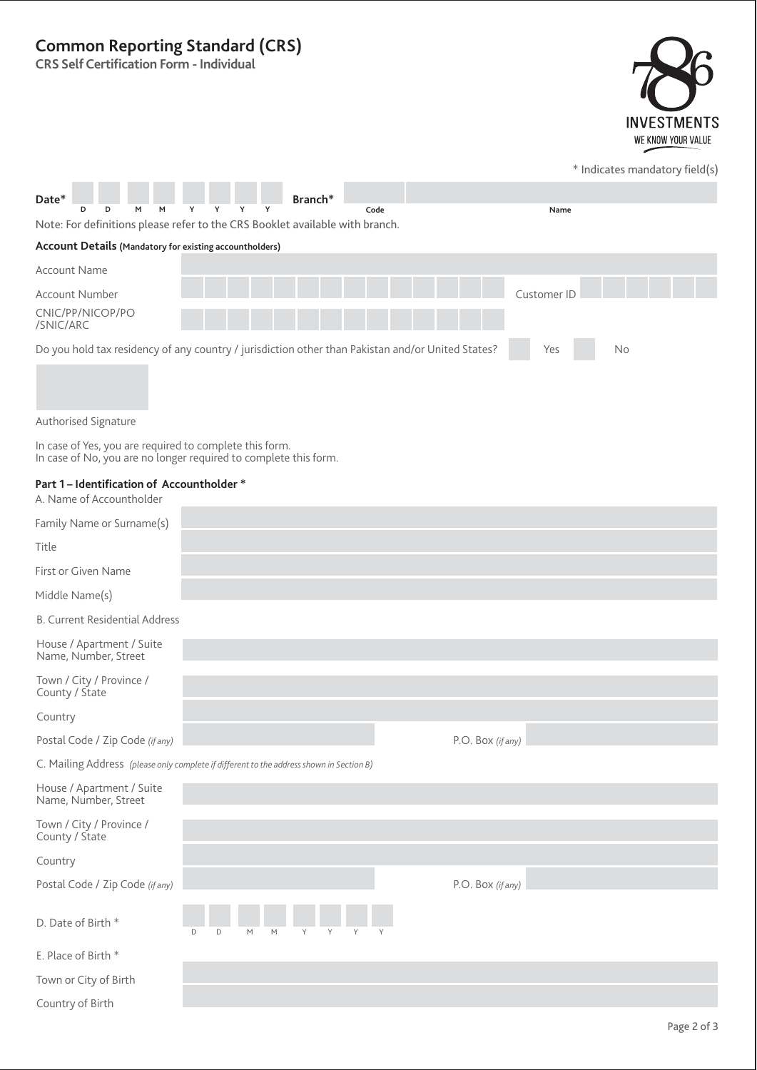## **Common Reporting Standard (CRS)**

**CRS Self Certification Form - Individual**



|                                                                                                                             |                                                                                                   |                   | * Indicates mandatory field(s) |
|-----------------------------------------------------------------------------------------------------------------------------|---------------------------------------------------------------------------------------------------|-------------------|--------------------------------|
| Date*                                                                                                                       | Branch*                                                                                           |                   |                                |
| D<br>м                                                                                                                      | Code<br>Note: For definitions please refer to the CRS Booklet available with branch.              |                   | Name                           |
| Account Details (Mandatory for existing accountholders)                                                                     |                                                                                                   |                   |                                |
| <b>Account Name</b>                                                                                                         |                                                                                                   |                   |                                |
| <b>Account Number</b>                                                                                                       |                                                                                                   |                   | Customer ID                    |
| CNIC/PP/NICOP/PO<br>/SNIC/ARC                                                                                               |                                                                                                   |                   |                                |
|                                                                                                                             | Do you hold tax residency of any country / jurisdiction other than Pakistan and/or United States? |                   | No<br>Yes                      |
| Authorised Signature                                                                                                        |                                                                                                   |                   |                                |
| In case of Yes, you are required to complete this form.<br>In case of No, you are no longer required to complete this form. |                                                                                                   |                   |                                |
| Part 1 - Identification of Accountholder *<br>A. Name of Accountholder                                                      |                                                                                                   |                   |                                |
| Family Name or Surname(s)                                                                                                   |                                                                                                   |                   |                                |
| Title                                                                                                                       |                                                                                                   |                   |                                |
| First or Given Name                                                                                                         |                                                                                                   |                   |                                |
| Middle Name(s)                                                                                                              |                                                                                                   |                   |                                |
| <b>B. Current Residential Address</b>                                                                                       |                                                                                                   |                   |                                |
| House / Apartment / Suite<br>Name, Number, Street                                                                           |                                                                                                   |                   |                                |
| Town / City / Province /<br>County / State                                                                                  |                                                                                                   |                   |                                |
| Country                                                                                                                     |                                                                                                   |                   |                                |
| Postal Code / Zip Code (if any)                                                                                             |                                                                                                   | P.O. Box (if any) |                                |
|                                                                                                                             | C. Mailing Address (please only complete if different to the address shown in Section B)          |                   |                                |

| House / Apartment / Suite<br>Name, Number, Street |                            |
|---------------------------------------------------|----------------------------|
| Town / City / Province /<br>County / State        |                            |
| Country                                           |                            |
| Postal Code / Zip Code (if any)                   | P.O. Box (if any)          |
| D. Date of Birth *                                | D<br>M<br>M<br>D<br>Υ<br>Υ |
| E. Place of Birth *                               |                            |
| Town or City of Birth                             |                            |
| Country of Birth                                  |                            |